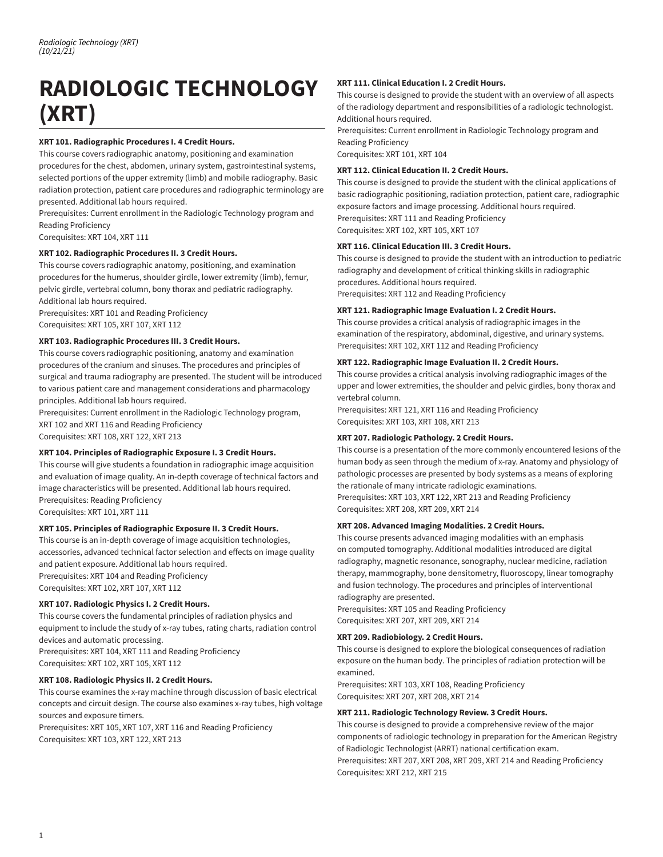# **RADIOLOGIC TECHNOLOGY (XRT)**

# **XRT 101. Radiographic Procedures I. 4 Credit Hours.**

This course covers radiographic anatomy, positioning and examination procedures for the chest, abdomen, urinary system, gastrointestinal systems, selected portions of the upper extremity (limb) and mobile radiography. Basic radiation protection, patient care procedures and radiographic terminology are presented. Additional lab hours required.

Prerequisites: Current enrollment in the Radiologic Technology program and Reading Proficiency

Corequisites: XRT 104, XRT 111

## **XRT 102. Radiographic Procedures II. 3 Credit Hours.**

This course covers radiographic anatomy, positioning, and examination procedures for the humerus, shoulder girdle, lower extremity (limb), femur, pelvic girdle, vertebral column, bony thorax and pediatric radiography. Additional lab hours required.

Prerequisites: XRT 101 and Reading Proficiency Corequisites: XRT 105, XRT 107, XRT 112

## **XRT 103. Radiographic Procedures III. 3 Credit Hours.**

This course covers radiographic positioning, anatomy and examination procedures of the cranium and sinuses. The procedures and principles of surgical and trauma radiography are presented. The student will be introduced to various patient care and management considerations and pharmacology principles. Additional lab hours required.

Prerequisites: Current enrollment in the Radiologic Technology program, XRT 102 and XRT 116 and Reading Proficiency Corequisites: XRT 108, XRT 122, XRT 213

## **XRT 104. Principles of Radiographic Exposure I. 3 Credit Hours.**

This course will give students a foundation in radiographic image acquisition and evaluation of image quality. An in-depth coverage of technical factors and image characteristics will be presented. Additional lab hours required. Prerequisites: Reading Proficiency Corequisites: XRT 101, XRT 111

## **XRT 105. Principles of Radiographic Exposure II. 3 Credit Hours.**

This course is an in-depth coverage of image acquisition technologies, accessories, advanced technical factor selection and effects on image quality and patient exposure. Additional lab hours required. Prerequisites: XRT 104 and Reading Proficiency Corequisites: XRT 102, XRT 107, XRT 112

## **XRT 107. Radiologic Physics I. 2 Credit Hours.**

This course covers the fundamental principles of radiation physics and equipment to include the study of x-ray tubes, rating charts, radiation control devices and automatic processing. Prerequisites: XRT 104, XRT 111 and Reading Proficiency Corequisites: XRT 102, XRT 105, XRT 112

## **XRT 108. Radiologic Physics II. 2 Credit Hours.**

This course examines the x-ray machine through discussion of basic electrical concepts and circuit design. The course also examines x-ray tubes, high voltage sources and exposure timers.

Prerequisites: XRT 105, XRT 107, XRT 116 and Reading Proficiency Corequisites: XRT 103, XRT 122, XRT 213

## **XRT 111. Clinical Education I. 2 Credit Hours.**

This course is designed to provide the student with an overview of all aspects of the radiology department and responsibilities of a radiologic technologist. Additional hours required.

Prerequisites: Current enrollment in Radiologic Technology program and Reading Proficiency

Corequisites: XRT 101, XRT 104

#### **XRT 112. Clinical Education II. 2 Credit Hours.**

This course is designed to provide the student with the clinical applications of basic radiographic positioning, radiation protection, patient care, radiographic exposure factors and image processing. Additional hours required. Prerequisites: XRT 111 and Reading Proficiency

Corequisites: XRT 102, XRT 105, XRT 107

## **XRT 116. Clinical Education III. 3 Credit Hours.**

This course is designed to provide the student with an introduction to pediatric radiography and development of critical thinking skills in radiographic procedures. Additional hours required. Prerequisites: XRT 112 and Reading Proficiency

## **XRT 121. Radiographic Image Evaluation I. 2 Credit Hours.**

This course provides a critical analysis of radiographic images in the examination of the respiratory, abdominal, digestive, and urinary systems. Prerequisites: XRT 102, XRT 112 and Reading Proficiency

## **XRT 122. Radiographic Image Evaluation II. 2 Credit Hours.**

This course provides a critical analysis involving radiographic images of the upper and lower extremities, the shoulder and pelvic girdles, bony thorax and vertebral column.

Prerequisites: XRT 121, XRT 116 and Reading Proficiency Corequisites: XRT 103, XRT 108, XRT 213

## **XRT 207. Radiologic Pathology. 2 Credit Hours.**

This course is a presentation of the more commonly encountered lesions of the human body as seen through the medium of x-ray. Anatomy and physiology of pathologic processes are presented by body systems as a means of exploring the rationale of many intricate radiologic examinations. Prerequisites: XRT 103, XRT 122, XRT 213 and Reading Proficiency Corequisites: XRT 208, XRT 209, XRT 214

## **XRT 208. Advanced Imaging Modalities. 2 Credit Hours.**

This course presents advanced imaging modalities with an emphasis on computed tomography. Additional modalities introduced are digital radiography, magnetic resonance, sonography, nuclear medicine, radiation therapy, mammography, bone densitometry, fluoroscopy, linear tomography and fusion technology. The procedures and principles of interventional radiography are presented.

Prerequisites: XRT 105 and Reading Proficiency Corequisites: XRT 207, XRT 209, XRT 214

## **XRT 209. Radiobiology. 2 Credit Hours.**

This course is designed to explore the biological consequences of radiation exposure on the human body. The principles of radiation protection will be examined.

Prerequisites: XRT 103, XRT 108, Reading Proficiency Corequisites: XRT 207, XRT 208, XRT 214

#### **XRT 211. Radiologic Technology Review. 3 Credit Hours.**

This course is designed to provide a comprehensive review of the major components of radiologic technology in preparation for the American Registry of Radiologic Technologist (ARRT) national certification exam. Prerequisites: XRT 207, XRT 208, XRT 209, XRT 214 and Reading Proficiency Corequisites: XRT 212, XRT 215